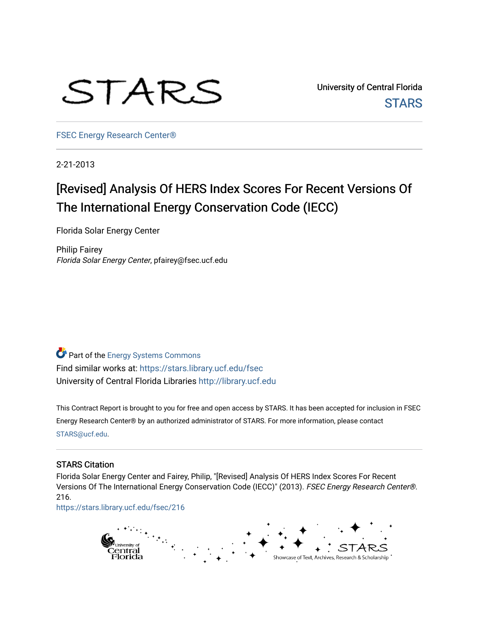

University of Central Florida **STARS** 

[FSEC Energy Research Center®](https://stars.library.ucf.edu/fsec) 

2-21-2013

# [Revised] Analysis Of HERS Index Scores For Recent Versions Of The International Energy Conservation Code (IECC)

Florida Solar Energy Center

Philip Fairey Florida Solar Energy Center, pfairey@fsec.ucf.edu

**Part of the Energy Systems Commons** Find similar works at: <https://stars.library.ucf.edu/fsec> University of Central Florida Libraries [http://library.ucf.edu](http://library.ucf.edu/) 

This Contract Report is brought to you for free and open access by STARS. It has been accepted for inclusion in FSEC Energy Research Center® by an authorized administrator of STARS. For more information, please contact [STARS@ucf.edu](mailto:STARS@ucf.edu).

#### STARS Citation

Florida Solar Energy Center and Fairey, Philip, "[Revised] Analysis Of HERS Index Scores For Recent Versions Of The International Energy Conservation Code (IECC)" (2013). FSEC Energy Research Center®. 216.

[https://stars.library.ucf.edu/fsec/216](https://stars.library.ucf.edu/fsec/216?utm_source=stars.library.ucf.edu%2Ffsec%2F216&utm_medium=PDF&utm_campaign=PDFCoverPages)

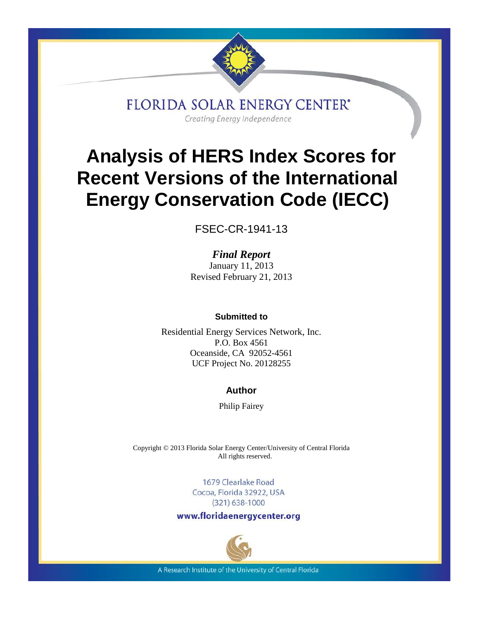

**FLORIDA SOLAR ENERGY CENTER'** Creating Energy Independence

# **Analysis of HERS Index Scores for Recent Versions of the International Energy Conservation Code (IECC)**

FSEC-CR-1941-13

*Final Report* January 11, 2013 Revised February 21, 2013

#### **Submitted to**

Residential Energy Services Network, Inc. P.O. Box 4561 Oceanside, CA 92052-4561 UCF Project No. 20128255

# **Author**

Philip Fairey

Copyright © 2013 Florida Solar Energy Center/University of Central Florida All rights reserved.

> 1679 Clearlake Road Cocoa, Florida 32922, USA  $(321)$  638-1000

www.floridaenergycenter.org



A Research Institute of the University of Central Florida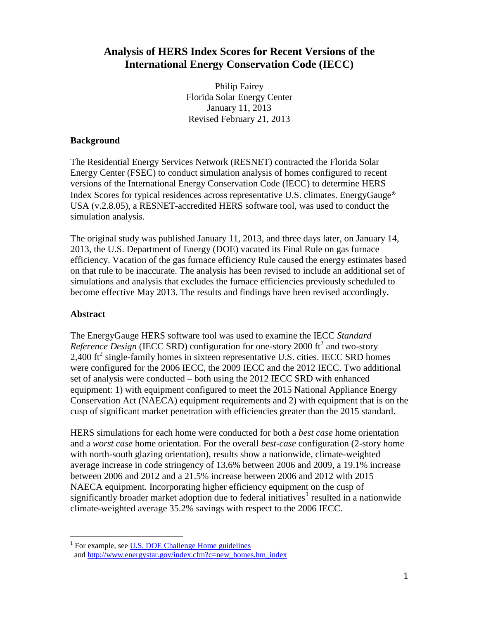# **Analysis of HERS Index Scores for Recent Versions of the International Energy Conservation Code (IECC)**

Philip Fairey Florida Solar Energy Center January 11, 2013 Revised February 21, 2013

#### **Background**

The Residential Energy Services Network (RESNET) contracted the Florida Solar Energy Center (FSEC) to conduct simulation analysis of homes configured to recent versions of the International Energy Conservation Code (IECC) to determine HERS Index Scores for typical residences across representative U.S. climates. EnergyGauge® USA (v.2.8.05), a RESNET-accredited HERS software tool, was used to conduct the simulation analysis.

The original study was published January 11, 2013, and three days later, on January 14, 2013, the U.S. Department of Energy (DOE) vacated its Final Rule on gas furnace efficiency. Vacation of the gas furnace efficiency Rule caused the energy estimates based on that rule to be inaccurate. The analysis has been revised to include an additional set of simulations and analysis that excludes the furnace efficiencies previously scheduled to become effective May 2013. The results and findings have been revised accordingly.

# **Abstract**

The EnergyGauge HERS software tool was used to examine the IECC *Standard Reference Design* (IECC SRD) configuration for one-story 2000 ft<sup>2</sup> and two-story 2,400  $\text{ft}^2$  single-family homes in sixteen representative U.S. cities. IECC SRD homes were configured for the 2006 IECC, the 2009 IECC and the 2012 IECC. Two additional set of analysis were conducted – both using the 2012 IECC SRD with enhanced equipment: 1) with equipment configured to meet the 2015 National Appliance Energy Conservation Act (NAECA) equipment requirements and 2) with equipment that is on the cusp of significant market penetration with efficiencies greater than the 2015 standard.

HERS simulations for each home were conducted for both a *best case* home orientation and a *worst case* home orientation. For the overall *best-case* configuration (2-story home with north-south glazing orientation), results show a nationwide, climate-weighted average increase in code stringency of 13.6% between 2006 and 2009, a 19.1% increase between 2006 and 2012 and a 21.5% increase between 2006 and 2012 with 2015 NAECA equipment. Incorporating higher efficiency equipment on the cusp of significantly broader market adoption due to federal initiatives<sup>[1](#page-2-0)</sup> resulted in a nationwide climate-weighted average 35.2% savings with respect to the 2006 IECC.

<span id="page-2-0"></span><sup>&</sup>lt;sup>1</sup> For example, see [U.S. DOE Challenge Home guidelines](http://www1.eere.energy.gov/buildings/residential/ch_guidelines.html) and [http://www.energystar.gov/index.cfm?c=new\\_homes.hm\\_index](http://www.energystar.gov/index.cfm?c=new_homes.hm_index)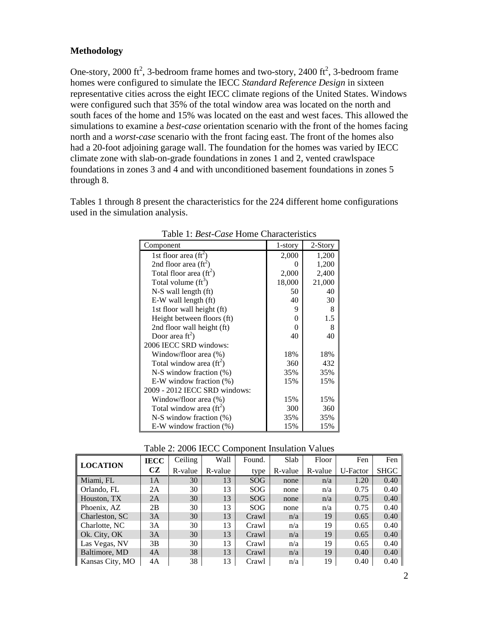#### **Methodology**

One-story, 2000 ft<sup>2</sup>, 3-bedroom frame homes and two-story, 2400 ft<sup>2</sup>, 3-bedroom frame homes were configured to simulate the IECC *Standard Reference Design* in sixteen representative cities across the eight IECC climate regions of the United States. Windows were configured such that 35% of the total window area was located on the north and south faces of the home and 15% was located on the east and west faces. This allowed the simulations to examine a *best-case* orientation scenario with the front of the homes facing north and a *worst-case* scenario with the front facing east. The front of the homes also had a 20-foot adjoining garage wall. The foundation for the homes was varied by IECC climate zone with slab-on-grade foundations in zones 1 and 2, vented crawlspace foundations in zones 3 and 4 and with unconditioned basement foundations in zones 5 through 8.

Tables 1 through 8 present the characteristics for the 224 different home configurations used in the simulation analysis.

| Component                        | 1-story  | 2-Story |
|----------------------------------|----------|---------|
| 1st floor area $({\rm ft}^2)$    | 2,000    | 1,200   |
| 2nd floor area $({\rm ft}^2)$    | 0        | 1,200   |
| Total floor area $(\text{ft}^2)$ | 2,000    | 2,400   |
| Total volume $(ft^3)$            | 18,000   | 21,000  |
| $N-S$ wall length $({\rm ft})$   | 50       | 40      |
| E-W wall length (ft)             | 40       | 30      |
| 1st floor wall height (ft)       | 9        | 8       |
| Height between floors (ft)       | $\theta$ | 1.5     |
| 2nd floor wall height (ft)       | $\theta$ | 8       |
| Door area $\text{ft}^2$ )        | 40       | 40      |
| 2006 IECC SRD windows:           |          |         |
| Window/floor area (%)            | 18%      | 18%     |
| Total window area $(ft^2)$       | 360      | 432     |
| $N-S$ window fraction $(\%)$     | 35%      | 35%     |
| E-W window fraction $(\%)$       | 15%      | 15%     |
| 2009 - 2012 IECC SRD windows:    |          |         |
| Window/floor area (%)            | 15%      | 15%     |
| Total window area $(ft^2)$       | 300      | 360     |
| $N-S$ window fraction $(\%)$     | 35%      | 35%     |
| E-W window fraction $(\%)$       | 15%      | 15%     |

Table 1: *Best-Case* Home Characteristics

| racie 2. 2000 iBCC Component modiumu |             |         |         |            |         |         |          |             |  |  |  |
|--------------------------------------|-------------|---------|---------|------------|---------|---------|----------|-------------|--|--|--|
|                                      | <b>IECC</b> | Ceiling | Wall    | Found.     | Slab    | Floor   | Fen      | Fen         |  |  |  |
| <b>LOCATION</b>                      | <b>CZ</b>   | R-value | R-value | type       | R-value | R-value | U-Factor | <b>SHGC</b> |  |  |  |
| Miami, FL                            | 1A          | 30      | 13      | <b>SOG</b> | none    | n/a     | 1.20     | 0.40        |  |  |  |
| Orlando, FL                          | 2A          | 30      | 13      | SOG        | none    | n/a     | 0.75     | 0.40        |  |  |  |
| Houston, TX                          | 2A          | 30      | 13      | <b>SOG</b> | none    | n/a     | 0.75     | 0.40        |  |  |  |
| Phoenix, AZ                          | 2B          | 30      | 13      | <b>SOG</b> | none    | n/a     | 0.75     | 0.40        |  |  |  |
| Charleston, SC                       | 3A          | 30      | 13      | Crawl      | n/a     | 19      | 0.65     | 0.40        |  |  |  |
| Charlotte, NC                        | 3A          | 30      | 13      | Crawl      | n/a     | 19      | 0.65     | 0.40        |  |  |  |
| Ok. City, OK                         | 3A          | 30      | 13      | Crawl      | n/a     | 19      | 0.65     | 0.40        |  |  |  |
| Las Vegas, NV                        | 3B          | 30      | 13      | Crawl      | n/a     | 19      | 0.65     | 0.40        |  |  |  |
| Baltimore, MD                        | 4A          | 38      | 13      | Crawl      | n/a     | 19      | 0.40     | 0.40        |  |  |  |
| Kansas City, MO                      | 4A          | 38      | 13      | Crawl      | n/a     | 19      | 0.40     | 0.40        |  |  |  |

#### Table 2: 2006 IECC Component Insulation Values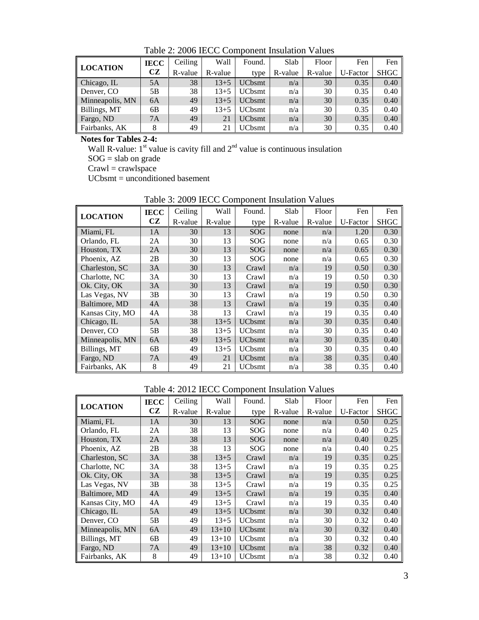| LOCATION        | <b>IECC</b> | Ceiling | Wall     | Found.        | Slab    | Floor   | Fen      | Fen         |
|-----------------|-------------|---------|----------|---------------|---------|---------|----------|-------------|
|                 | CZ          | R-value | R-value  | type          | R-value | R-value | U-Factor | <b>SHGC</b> |
| Chicago, IL     | 5A          | 38      | $13 + 5$ | <b>UCbsmt</b> | n/a     | 30      | 0.35     | 0.40        |
| Denver, CO      | 5B          | 38      | $13+5$   | <b>UCbsmt</b> | n/a     | 30      | 0.35     | 0.40        |
| Minneapolis, MN | 6A          | 49      | $13 + 5$ | <b>UCbsmt</b> | n/a     | 30      | 0.35     | 0.40        |
| Billings, MT    | 6B          | 49      | $13 + 5$ | <b>UCbsmt</b> | n/a     | 30      | 0.35     | 0.40        |
| Fargo, ND       | 7A          | 49      | 21       | <b>UCbsmt</b> | n/a     | 30      | 0.35     | 0.40        |
| Fairbanks, AK   | 8           | 49      | 21       | <b>UCbsmt</b> | n/a     | 30      | 0.35     | 0.40        |

Table 2: 2006 IECC Component Insulation Values

**Notes for Tables 2-4:**

Wall R-value:  $1^{st}$  value is cavity fill and  $2^{nd}$  value is continuous insulation

 $SOG = slab$  on grade

 $C$ rawl = crawlspace

UCbsmt = unconditioned basement

|                 | <b>IECC</b> | Ceiling | Wall     | Found.        | Slab    | Floor   | Fen      | Fen         |
|-----------------|-------------|---------|----------|---------------|---------|---------|----------|-------------|
| <b>LOCATION</b> | CZ          | R-value | R-value  | type          | R-value | R-value | U-Factor | <b>SHGC</b> |
| Miami, FL       | 1A          | 30      | 13       | SOG           | none    | n/a     | 1.20     | 0.30        |
| Orlando, FL     | 2A          | 30      | 13       | SOG           | none    | n/a     | 0.65     | 0.30        |
| Houston, TX     | 2A          | 30      | 13       | SOG           | none    | n/a     | 0.65     | 0.30        |
| Phoenix, AZ     | 2B          | 30      | 13       | SOG           | none    | n/a     | 0.65     | 0.30        |
| Charleston, SC  | 3A          | 30      | 13       | Crawl         | n/a     | 19      | 0.50     | 0.30        |
| Charlotte, NC   | 3A          | 30      | 13       | Crawl         | n/a     | 19      | 0.50     | 0.30        |
| Ok. City, OK    | 3A          | 30      | 13       | Crawl         | n/a     | 19      | 0.50     | 0.30        |
| Las Vegas, NV   | 3B          | 30      | 13       | Crawl         | n/a     | 19      | 0.50     | 0.30        |
| Baltimore, MD   | 4A          | 38      | 13       | Crawl         | n/a     | 19      | 0.35     | 0.40        |
| Kansas City, MO | 4A          | 38      | 13       | Crawl         | n/a     | 19      | 0.35     | 0.40        |
| Chicago, IL     | 5A          | 38      | $13+5$   | <b>UCbsmt</b> | n/a     | 30      | 0.35     | 0.40        |
| Denver, CO      | 5B          | 38      | $13+5$   | <b>UCbsmt</b> | n/a     | 30      | 0.35     | 0.40        |
| Minneapolis, MN | 6A          | 49      | $13 + 5$ | <b>UCbsmt</b> | n/a     | 30      | 0.35     | 0.40        |
| Billings, MT    | 6B          | 49      | $13 + 5$ | <b>UCbsmt</b> | n/a     | 30      | 0.35     | 0.40        |
| Fargo, ND       | 7A          | 49      | 21       | <b>UCbsmt</b> | n/a     | 38      | 0.35     | 0.40        |
| Fairbanks, AK   | 8           | 49      | 21       | <b>UCbsmt</b> | n/a     | 38      | 0.35     | 0.40        |

Table 3: 2009 IECC Component Insulation Values

Table 4: 2012 IECC Component Insulation Values

| <b>LOCATION</b> | <b>IECC</b> | Ceiling | Wall      | Found.        | Slab    | Floor   | Fen      | Fen         |
|-----------------|-------------|---------|-----------|---------------|---------|---------|----------|-------------|
|                 | CZ          | R-value | R-value   | type          | R-value | R-value | U-Factor | <b>SHGC</b> |
| Miami, FL       | 1A          | 30      | 13        | SOG           | none    | n/a     | 0.50     | 0.25        |
| Orlando, FL     | 2A          | 38      | 13        | SOG           | none    | n/a     | 0.40     | 0.25        |
| Houston, TX     | 2A          | 38      | 13        | SOG           | none    | n/a     | 0.40     | 0.25        |
| Phoenix, AZ     | 2В          | 38      | 13        | SOG           | none    | n/a     | 0.40     | 0.25        |
| Charleston, SC  | 3A          | 38      | $13 + 5$  | Crawl         | n/a     | 19      | 0.35     | 0.25        |
| Charlotte, NC   | 3A          | 38      | $13 + 5$  | Crawl         | n/a     | 19      | 0.35     | 0.25        |
| Ok. City, OK    | 3A          | 38      | $13 + 5$  | Crawl         | n/a     | 19      | 0.35     | 0.25        |
| Las Vegas, NV   | 3B          | 38      | $13 + 5$  | Crawl         | n/a     | 19      | 0.35     | 0.25        |
| Baltimore, MD   | 4A          | 49      | $13 + 5$  | Crawl         | n/a     | 19      | 0.35     | 0.40        |
| Kansas City, MO | 4A          | 49      | $13 + 5$  | Crawl         | n/a     | 19      | 0.35     | 0.40        |
| Chicago, IL     | 5A          | 49      | $13 + 5$  | <b>UCbsmt</b> | n/a     | 30      | 0.32     | 0.40        |
| Denver, CO      | 5B          | 49      | $13 + 5$  | <b>UCbsmt</b> | n/a     | 30      | 0.32     | 0.40        |
| Minneapolis, MN | 6A          | 49      | $13 + 10$ | <b>UCbsmt</b> | n/a     | 30      | 0.32     | 0.40        |
| Billings, MT    | 6B          | 49      | $13 + 10$ | <b>UCbsmt</b> | n/a     | 30      | 0.32     | 0.40        |
| Fargo, ND       | 7A          | 49      | $13 + 10$ | <b>UCbsmt</b> | n/a     | 38      | 0.32     | 0.40        |
| Fairbanks, AK   | 8           | 49      | $13 + 10$ | <b>UCbsmt</b> | n/a     | 38      | 0.32     | 0.40        |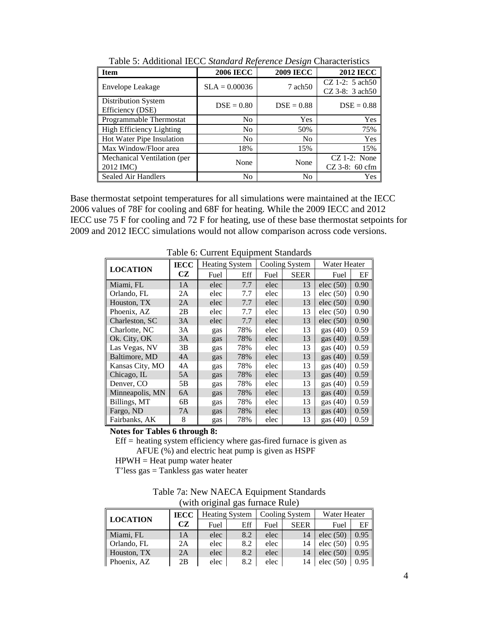| <b>Item</b>                              | <b>2006 IECC</b> | <b>2009 IECC</b>   | <b>2012 IECC</b>                         |
|------------------------------------------|------------------|--------------------|------------------------------------------|
| Envelope Leakage                         | $SLA = 0.00036$  | $7 \text{ ach} 50$ | $CZ$ 1-2: 5 ach 50<br>$CZ$ 3-8: 3 ach 50 |
| Distribution System<br>Efficiency (DSE)  | $DSE = 0.80$     | $DSE = 0.88$       | $DSE = 0.88$                             |
| Programmable Thermostat                  | N <sub>0</sub>   | <b>Yes</b>         | Yes                                      |
| High Efficiency Lighting                 | N <sub>0</sub>   | 50%                | 75%                                      |
| Hot Water Pipe Insulation                | No               | N <sub>0</sub>     | Yes                                      |
| Max Window/Floor area                    | 18%              | 15%                | 15%                                      |
| Mechanical Ventilation (per<br>2012 IMC) | None             | None               | $CZ$ 1-2: None<br>$CZ$ 3-8: 60 cfm       |
| Sealed Air Handlers                      | No               | N <sub>0</sub>     | <b>Yes</b>                               |

Table 5: Additional IECC *Standard Reference Design* Characteristics

Base thermostat setpoint temperatures for all simulations were maintained at the IECC 2006 values of 78F for cooling and 68F for heating. While the 2009 IECC and 2012 IECC use 75 F for cooling and 72 F for heating, use of these base thermostat setpoints for 2009 and 2012 IECC simulations would not allow comparison across code versions.

|                 | <b>IECC</b> |      | <b>Heating System</b> |      | Cooling System | Water Heater |      |
|-----------------|-------------|------|-----------------------|------|----------------|--------------|------|
| <b>LOCATION</b> | CZ          | Fuel | Eff                   | Fuel | <b>SEER</b>    | Fuel         | EF   |
| Miami, FL       | 1A          | elec | 7.7                   | elec | 13             | elec $(50)$  | 0.90 |
| Orlando, FL     | 2A          | elec | 7.7                   | elec | 13             | elec $(50)$  | 0.90 |
| Houston, TX     | 2A          | elec | 7.7                   | elec | 13             | elec $(50)$  | 0.90 |
| Phoenix, AZ     | 2B          | elec | 7.7                   | elec | 13             | elec $(50)$  | 0.90 |
| Charleston, SC  | 3A          | elec | 7.7                   | elec | 13             | elec $(50)$  | 0.90 |
| Charlotte, NC   | 3A          | gas  | 78%                   | elec | 13             | gas $(40)$   | 0.59 |
| Ok. City, OK    | 3A          | gas  | 78%                   | elec | 13             | gas $(40)$   | 0.59 |
| Las Vegas, NV   | 3В          | gas  | 78%                   | elec | 13             | gas $(40)$   | 0.59 |
| Baltimore, MD   | 4A          | gas  | 78%                   | elec | 13             | gas $(40)$   | 0.59 |
| Kansas City, MO | 4A          | gas  | 78%                   | elec | 13             | gas $(40)$   | 0.59 |
| Chicago, IL     | 5A          | gas  | 78%                   | elec | 13             | gas $(40)$   | 0.59 |
| Denver, CO      | 5В          | gas  | 78%                   | elec | 13             | gas $(40)$   | 0.59 |
| Minneapolis, MN | 6A          | gas  | 78%                   | elec | 13             | gas $(40)$   | 0.59 |
| Billings, MT    | 6В          | gas  | 78%                   | elec | 13             | gas $(40)$   | 0.59 |
| Fargo, ND       | 7A          | gas  | 78%                   | elec | 13             | gas $(40)$   | 0.59 |
| Fairbanks, AK   | 8           | gas  | 78%                   | elec | 13             | gas $(40)$   | 0.59 |

Table 6: Current Equipment Standards

**Notes for Tables 6 through 8:**

 $Eff = heating system efficiency$  where gas-fired furnace is given as AFUE (%) and electric heat pump is given as HSPF

 $HPWH = Heat pump water heater$ 

 $T'$ less gas  $=$  Tankless gas water heater

| Table 7a: New NAECA Equipment Standards |
|-----------------------------------------|
| (with original gas furnace Rule)        |

|                 | <b>IECC</b> | <b>Heating System</b> |     | Cooling System |             | Water Heater |      |  |
|-----------------|-------------|-----------------------|-----|----------------|-------------|--------------|------|--|
| <b>LOCATION</b> | CZ          | Fuel                  | Eff | Fuel           | <b>SEER</b> | Fuel         | EF   |  |
| Miami, FL       | 1A          | elec                  | 8.2 | elec           | 14          | elec $(50)$  | 0.95 |  |
| Orlando, FL     | 2Α          | elec                  | 8.2 | elec           | 14          | elec $(50)$  | 0.95 |  |
| Houston, TX     | 2A          | elec                  | 8.2 | elec           | 14          | elec $(50)$  | 0.95 |  |
| Phoenix, AZ     | 2В          | elec                  | 8.2 | elec           | 14          | elec $(50)$  | 0.95 |  |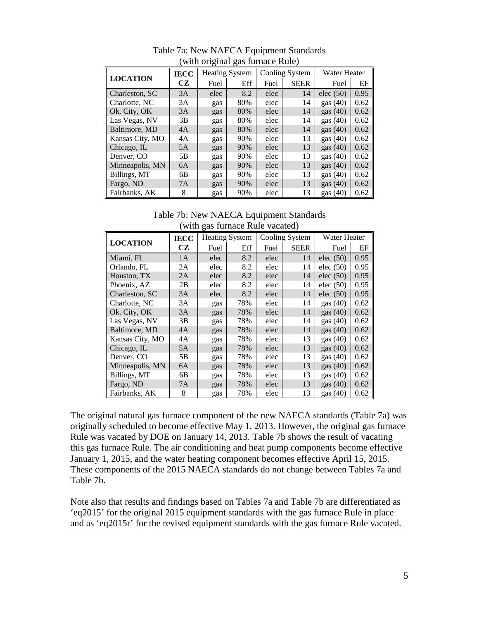| <b>LOCATION</b> | <b>IECC</b> | <b>Heating System</b> |     | Cooling System |             | Water Heater |      |
|-----------------|-------------|-----------------------|-----|----------------|-------------|--------------|------|
|                 | <b>CZ</b>   | Fuel                  | Eff | Fuel           | <b>SEER</b> | Fuel         | EF   |
| Charleston, SC  | 3A          | elec                  | 8.2 | elec           | 14          | elec $(50)$  | 0.95 |
| Charlotte, NC   | 3A          | gas                   | 80% | elec           | 14          | gas $(40)$   | 0.62 |
| Ok. City, OK    | 3A          | gas                   | 80% | elec           | 14          | gas $(40)$   | 0.62 |
| Las Vegas, NV   | 3B          | gas                   | 80% | elec           | 14          | gas $(40)$   | 0.62 |
| Baltimore, MD   | 4A          | gas                   | 80% | elec           | 14          | gas $(40)$   | 0.62 |
| Kansas City, MO | 4A          | gas                   | 90% | elec           | 13          | gas $(40)$   | 0.62 |
| Chicago, IL     | 5A          | gas                   | 90% | elec           | 13          | gas $(40)$   | 0.62 |
| Denver, CO      | 5B          | gas                   | 90% | elec           | 13          | gas $(40)$   | 0.62 |
| Minneapolis, MN | 6A          | gas                   | 90% | elec           | 13          | gas $(40)$   | 0.62 |
| Billings, MT    | 6B          | gas                   | 90% | elec           | 13          | gas $(40)$   | 0.62 |
| Fargo, ND       | 7A          | gas                   | 90% | elec           | 13          | gas $(40)$   | 0.62 |
| Fairbanks, AK   | 8           | gas                   | 90% | elec           | 13          | gas $(40)$   | 0.62 |

Table 7a: New NAECA Equipment Standards (with original gas furnace Rule)

Table 7b: New NAECA Equipment Standards (with gas furnace Rule vacated)

|                 | <b>IECC</b> |      | <b>Heating System</b> |      | Cooling System | Water Heater |      |
|-----------------|-------------|------|-----------------------|------|----------------|--------------|------|
| <b>LOCATION</b> | CZ          | Fuel | Eff                   | Fuel | <b>SEER</b>    | Fuel         | EF   |
| Miami, FL       | 1A          | elec | 8.2                   | elec | 14             | elec $(50)$  | 0.95 |
| Orlando, FL     | 2A          | elec | 8.2                   | elec | 14             | elec $(50)$  | 0.95 |
| Houston, TX     | 2A          | elec | 8.2                   | elec | 14             | elec $(50)$  | 0.95 |
| Phoenix, AZ     | 2B          | elec | 8.2                   | elec | 14             | elec $(50)$  | 0.95 |
| Charleston, SC  | 3A          | elec | 8.2                   | elec | 14             | elec $(50)$  | 0.95 |
| Charlotte, NC   | 3A          | gas  | 78%                   | elec | 14             | gas $(40)$   | 0.62 |
| Ok. City, OK    | 3A          | gas  | 78%                   | elec | 14             | gas $(40)$   | 0.62 |
| Las Vegas, NV   | 3B          | gas  | 78%                   | elec | 14             | gas $(40)$   | 0.62 |
| Baltimore, MD   | 4A          | gas  | 78%                   | elec | 14             | gas $(40)$   | 0.62 |
| Kansas City, MO | 4A          | gas  | 78%                   | elec | 13             | gas $(40)$   | 0.62 |
| Chicago, IL     | 5A          | gas  | 78%                   | elec | 13             | gas $(40)$   | 0.62 |
| Denver, CO      | 5Β          | gas  | 78%                   | elec | 13             | gas $(40)$   | 0.62 |
| Minneapolis, MN | 6A          | gas  | 78%                   | elec | 13             | gas $(40)$   | 0.62 |
| Billings, MT    | 6B          | gas  | 78%                   | elec | 13             | gas $(40)$   | 0.62 |
| Fargo, ND       | 7A          | gas  | 78%                   | elec | 13             | gas $(40)$   | 0.62 |
| Fairbanks, AK   | 8           | gas  | 78%                   | elec | 13             | gas $(40)$   | 0.62 |

The original natural gas furnace component of the new NAECA standards (Table 7a) was originally scheduled to become effective May 1, 2013. However, the original gas furnace Rule was vacated by DOE on January 14, 2013. Table 7b shows the result of vacating this gas furnace Rule. The air conditioning and heat pump components become effective January 1, 2015, and the water heating component becomes effective April 15, 2015. These components of the 2015 NAECA standards do not change between Tables 7a and Table 7b.

Note also that results and findings based on Tables 7a and Table 7b are differentiated as 'eq2015' for the original 2015 equipment standards with the gas furnace Rule in place and as 'eq2015r' for the revised equipment standards with the gas furnace Rule vacated.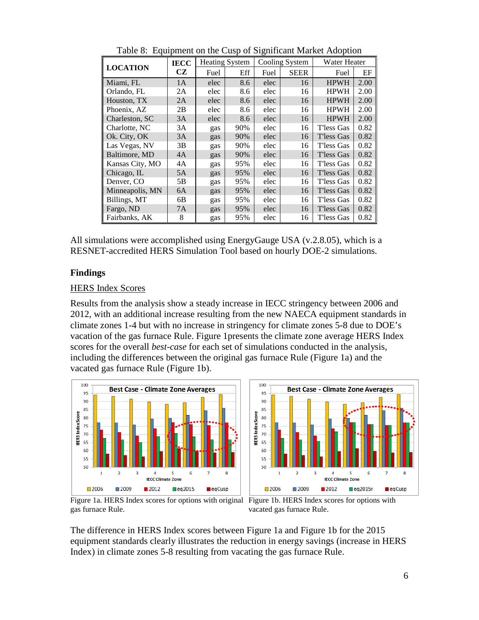|                 | <b>IECC</b> |      | <b>Heating System</b> |      | Cooling System | Water Heater |      |
|-----------------|-------------|------|-----------------------|------|----------------|--------------|------|
| <b>LOCATION</b> | CZ          | Fuel | Eff                   | Fuel | <b>SEER</b>    | Fuel         | EF   |
| Miami, FL       | 1A          | elec | 8.6                   | elec | 16             | <b>HPWH</b>  | 2.00 |
| Orlando, FL     | 2A          | elec | 8.6                   | elec | 16             | <b>HPWH</b>  | 2.00 |
| Houston, TX     | 2A          | elec | 8.6                   | elec | 16             | <b>HPWH</b>  | 2.00 |
| Phoenix, AZ     | 2В          | elec | 8.6                   | elec | 16             | <b>HPWH</b>  | 2.00 |
| Charleston, SC  | 3A          | elec | 8.6                   | elec | 16             | <b>HPWH</b>  | 2.00 |
| Charlotte, NC   | 3A          | gas  | 90%                   | elec | 16             | T'less Gas   | 0.82 |
| Ok. City, OK    | 3A          | gas  | 90%                   | elec | 16             | T'less Gas   | 0.82 |
| Las Vegas, NV   | 3B          | gas  | 90%                   | elec | 16             | T'less Gas   | 0.82 |
| Baltimore, MD   | 4A          | gas  | 90%                   | elec | 16             | T'less Gas   | 0.82 |
| Kansas City, MO | 4Α          | gas  | 95%                   | elec | 16             | T'less Gas   | 0.82 |
| Chicago, IL     | 5A          | gas  | 95%                   | elec | 16             | T'less Gas   | 0.82 |
| Denver, CO      | 5Β          | gas  | 95%                   | elec | 16             | T'less Gas   | 0.82 |
| Minneapolis, MN | 6A          | gas  | 95%                   | elec | 16             | T'less Gas   | 0.82 |
| Billings, MT    | 6В          | gas  | 95%                   | elec | 16             | T'less Gas   | 0.82 |
| Fargo, ND       | 7A          | gas  | 95%                   | elec | 16             | T'less Gas   | 0.82 |
| Fairbanks, AK   | 8           | gas  | 95%                   | elec | 16             | T'less Gas   | 0.82 |

Table 8: Equipment on the Cusp of Significant Market Adoption

All simulations were accomplished using EnergyGauge USA (v.2.8.05), which is a RESNET-accredited HERS Simulation Tool based on hourly DOE-2 simulations.

#### **Findings**

#### HERS Index Scores

Results from the analysis show a steady increase in IECC stringency between 2006 and 2012, with an additional increase resulting from the new NAECA equipment standards in climate zones 1-4 but with no increase in stringency for climate zones 5-8 due to DOE's vacation of the gas furnace Rule. Figure 1presents the climate zone average HERS Index scores for the overall *best-case* for each set of simulations conducted in the analysis, including the differences between the original gas furnace Rule (Figure 1a) and the vacated gas furnace Rule (Figure 1b).





Figure 1a. HERS Index scores for options with original Figure 1b. HERS Index scores for options with gas furnace Rule.

vacated gas furnace Rule.

The difference in HERS Index scores between Figure 1a and Figure 1b for the 2015 equipment standards clearly illustrates the reduction in energy savings (increase in HERS Index) in climate zones 5-8 resulting from vacating the gas furnace Rule.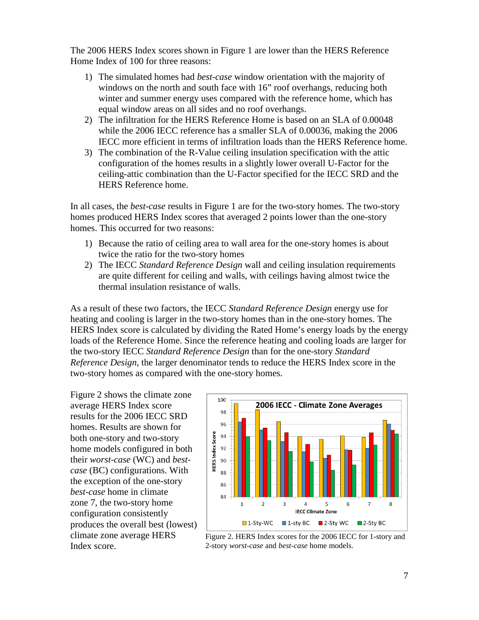The 2006 HERS Index scores shown in Figure 1 are lower than the HERS Reference Home Index of 100 for three reasons:

- 1) The simulated homes had *best-case* window orientation with the majority of windows on the north and south face with 16" roof overhangs, reducing both winter and summer energy uses compared with the reference home, which has equal window areas on all sides and no roof overhangs.
- 2) The infiltration for the HERS Reference Home is based on an SLA of 0.00048 while the 2006 IECC reference has a smaller SLA of 0.00036, making the 2006 IECC more efficient in terms of infiltration loads than the HERS Reference home.
- 3) The combination of the R-Value ceiling insulation specification with the attic configuration of the homes results in a slightly lower overall U-Factor for the ceiling-attic combination than the U-Factor specified for the IECC SRD and the HERS Reference home.

In all cases, the *best-case* results in Figure 1 are for the two-story homes. The two-story homes produced HERS Index scores that averaged 2 points lower than the one-story homes. This occurred for two reasons:

- 1) Because the ratio of ceiling area to wall area for the one-story homes is about twice the ratio for the two-story homes
- 2) The IECC *Standard Reference Design* wall and ceiling insulation requirements are quite different for ceiling and walls, with ceilings having almost twice the thermal insulation resistance of walls.

As a result of these two factors, the IECC *Standard Reference Design* energy use for heating and cooling is larger in the two-story homes than in the one-story homes. The HERS Index score is calculated by dividing the Rated Home's energy loads by the energy loads of the Reference Home. Since the reference heating and cooling loads are larger for the two-story IECC *Standard Reference Design* than for the one-story *Standard Reference Design*, the larger denominator tends to reduce the HERS Index score in the two-story homes as compared with the one-story homes.

Figure 2 shows the climate zone average HERS Index score results for the 2006 IECC SRD homes. Results are shown for both one-story and two-story home models configured in both their *worst-case* (WC) and *bestcase* (BC) configurations. With the exception of the one-story *best-case* home in climate zone 7, the two-story home configuration consistently produces the overall best (lowest) climate zone average HERS Index score.



Figure 2. HERS Index scores for the 2006 IECC for 1-story and 2-story *worst-case* and *best-case* home models.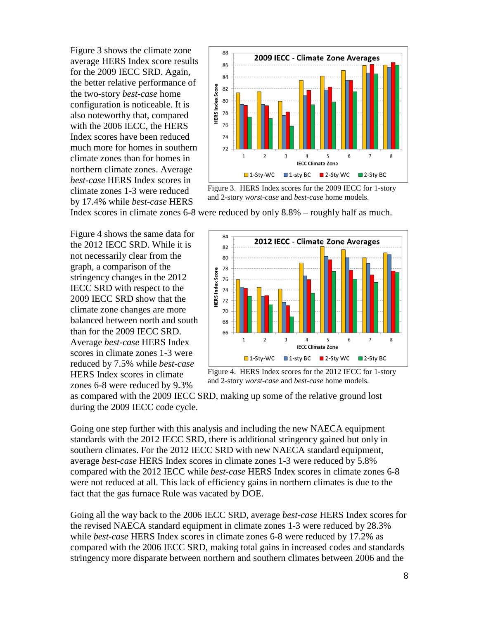Figure 3 shows the climate zone average HERS Index score results for the 2009 IECC SRD. Again, the better relative performance of the two-story *best-case* home configuration is noticeable. It is also noteworthy that, compared with the 2006 IECC, the HERS Index scores have been reduced much more for homes in southern climate zones than for homes in northern climate zones. Average *best-case* HERS Index scores in climate zones 1-3 were reduced by 17.4% while *best-case* HERS



Figure 3. HERS Index scores for the 2009 IECC for 1-story and 2-story *worst-case* and *best-case* home models.

Index scores in climate zones 6-8 were reduced by only 8.8% – roughly half as much.

Figure 4 shows the same data for the 2012 IECC SRD. While it is not necessarily clear from the graph, a comparison of the stringency changes in the 2012 IECC SRD with respect to the 2009 IECC SRD show that the climate zone changes are more balanced between north and south than for the 2009 IECC SRD. Average *best-case* HERS Index scores in climate zones 1-3 were reduced by 7.5% while *best-case* HERS Index scores in climate zones 6-8 were reduced by 9.3%



Figure 4. HERS Index scores for the 2012 IECC for 1-story and 2-story *worst-case* and *best-case* home models.

as compared with the 2009 IECC SRD, making up some of the relative ground lost during the 2009 IECC code cycle.

Going one step further with this analysis and including the new NAECA equipment standards with the 2012 IECC SRD, there is additional stringency gained but only in southern climates. For the 2012 IECC SRD with new NAECA standard equipment, average *best-case* HERS Index scores in climate zones 1-3 were reduced by 5.8% compared with the 2012 IECC while *best-case* HERS Index scores in climate zones 6-8 were not reduced at all. This lack of efficiency gains in northern climates is due to the fact that the gas furnace Rule was vacated by DOE.

Going all the way back to the 2006 IECC SRD, average *best-case* HERS Index scores for the revised NAECA standard equipment in climate zones 1-3 were reduced by 28.3% while *best-case* HERS Index scores in climate zones 6-8 were reduced by 17.2% as compared with the 2006 IECC SRD, making total gains in increased codes and standards stringency more disparate between northern and southern climates between 2006 and the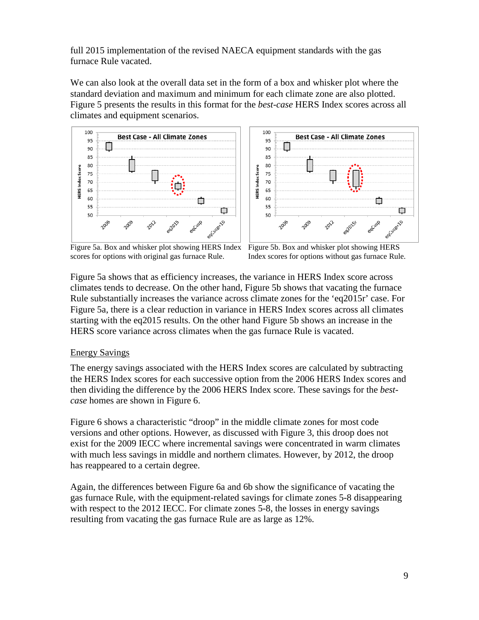full 2015 implementation of the revised NAECA equipment standards with the gas furnace Rule vacated.

We can also look at the overall data set in the form of a box and whisker plot where the standard deviation and maximum and minimum for each climate zone are also plotted. Figure 5 presents the results in this format for the *best-case* HERS Index scores across all climates and equipment scenarios.





Figure 5a. Box and whisker plot showing HERS Index scores for options with original gas furnace Rule.

Figure 5b. Box and whisker plot showing HERS Index scores for options without gas furnace Rule.

Figure 5a shows that as efficiency increases, the variance in HERS Index score across climates tends to decrease. On the other hand, Figure 5b shows that vacating the furnace Rule substantially increases the variance across climate zones for the 'eq2015r' case. For Figure 5a, there is a clear reduction in variance in HERS Index scores across all climates starting with the eq2015 results. On the other hand Figure 5b shows an increase in the HERS score variance across climates when the gas furnace Rule is vacated.

#### Energy Savings

The energy savings associated with the HERS Index scores are calculated by subtracting the HERS Index scores for each successive option from the 2006 HERS Index scores and then dividing the difference by the 2006 HERS Index score. These savings for the *bestcase* homes are shown in Figure 6.

Figure 6 shows a characteristic "droop" in the middle climate zones for most code versions and other options. However, as discussed with Figure 3, this droop does not exist for the 2009 IECC where incremental savings were concentrated in warm climates with much less savings in middle and northern climates. However, by 2012, the droop has reappeared to a certain degree.

Again, the differences between Figure 6a and 6b show the significance of vacating the gas furnace Rule, with the equipment-related savings for climate zones 5-8 disappearing with respect to the 2012 IECC. For climate zones 5-8, the losses in energy savings resulting from vacating the gas furnace Rule are as large as 12%.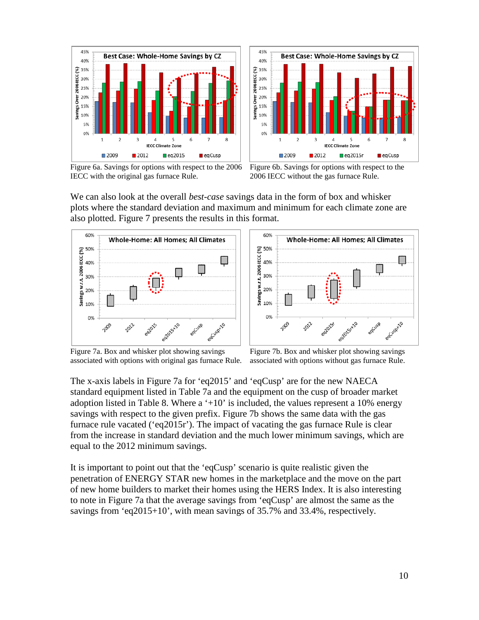

45% **Best Case: Whole-Home Savings by CZ** 40% Savings Over 2006 IECC (%) 35% 30% 25% 20% 15% 10% 59 n  $\Delta$ **IECC Climate Zone** ■2009 ■2012  $eq2015r$  $\blacksquare$ eaCusp

Figure 6a. Savings for options with respect to the 2006 IECC with the original gas furnace Rule.

Figure 6b. Savings for options with respect to the 2006 IECC without the gas furnace Rule.

We can also look at the overall *best-case* savings data in the form of box and whisker plots where the standard deviation and maximum and minimum for each climate zone are also plotted. Figure 7 presents the results in this format.





Figure 7a. Box and whisker plot showing savings associated with options with original gas furnace Rule.

Figure 7b. Box and whisker plot showing savings associated with options without gas furnace Rule.

The x-axis labels in Figure 7a for 'eq2015' and 'eqCusp' are for the new NAECA standard equipment listed in Table 7a and the equipment on the cusp of broader market adoption listed in Table 8. Where a  $+10$  is included, the values represent a 10% energy savings with respect to the given prefix. Figure 7b shows the same data with the gas furnace rule vacated ('eq2015r'). The impact of vacating the gas furnace Rule is clear from the increase in standard deviation and the much lower minimum savings, which are equal to the 2012 minimum savings.

It is important to point out that the 'eqCusp' scenario is quite realistic given the penetration of ENERGY STAR new homes in the marketplace and the move on the part of new home builders to market their homes using the HERS Index. It is also interesting to note in Figure 7a that the average savings from 'eqCusp' are almost the same as the savings from 'eq2015+10', with mean savings of 35.7% and 33.4%, respectively.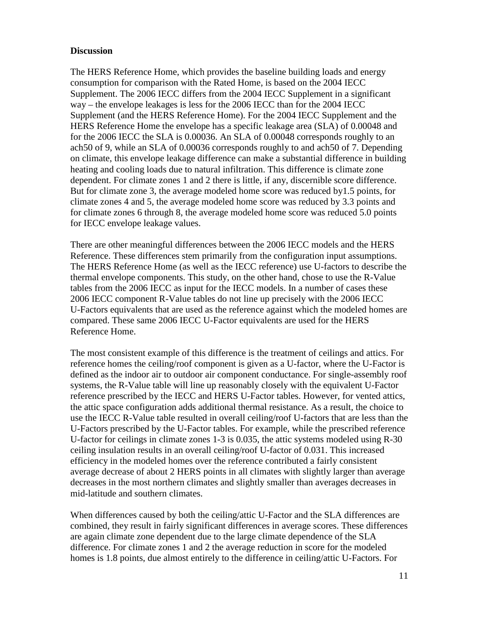#### **Discussion**

The HERS Reference Home, which provides the baseline building loads and energy consumption for comparison with the Rated Home, is based on the 2004 IECC Supplement. The 2006 IECC differs from the 2004 IECC Supplement in a significant way – the envelope leakages is less for the 2006 IECC than for the 2004 IECC Supplement (and the HERS Reference Home). For the 2004 IECC Supplement and the HERS Reference Home the envelope has a specific leakage area (SLA) of 0.00048 and for the 2006 IECC the SLA is 0.00036. An SLA of 0.00048 corresponds roughly to an ach50 of 9, while an SLA of 0.00036 corresponds roughly to and ach50 of 7. Depending on climate, this envelope leakage difference can make a substantial difference in building heating and cooling loads due to natural infiltration. This difference is climate zone dependent. For climate zones 1 and 2 there is little, if any, discernible score difference. But for climate zone 3, the average modeled home score was reduced by1.5 points, for climate zones 4 and 5, the average modeled home score was reduced by 3.3 points and for climate zones 6 through 8, the average modeled home score was reduced 5.0 points for IECC envelope leakage values.

There are other meaningful differences between the 2006 IECC models and the HERS Reference. These differences stem primarily from the configuration input assumptions. The HERS Reference Home (as well as the IECC reference) use U-factors to describe the thermal envelope components. This study, on the other hand, chose to use the R-Value tables from the 2006 IECC as input for the IECC models. In a number of cases these 2006 IECC component R-Value tables do not line up precisely with the 2006 IECC U-Factors equivalents that are used as the reference against which the modeled homes are compared. These same 2006 IECC U-Factor equivalents are used for the HERS Reference Home.

The most consistent example of this difference is the treatment of ceilings and attics. For reference homes the ceiling/roof component is given as a U-factor, where the U-Factor is defined as the indoor air to outdoor air component conductance. For single-assembly roof systems, the R-Value table will line up reasonably closely with the equivalent U-Factor reference prescribed by the IECC and HERS U-Factor tables. However, for vented attics, the attic space configuration adds additional thermal resistance. As a result, the choice to use the IECC R-Value table resulted in overall ceiling/roof U-factors that are less than the U-Factors prescribed by the U-Factor tables. For example, while the prescribed reference U-factor for ceilings in climate zones 1-3 is 0.035, the attic systems modeled using R-30 ceiling insulation results in an overall ceiling/roof U-factor of 0.031. This increased efficiency in the modeled homes over the reference contributed a fairly consistent average decrease of about 2 HERS points in all climates with slightly larger than average decreases in the most northern climates and slightly smaller than averages decreases in mid-latitude and southern climates.

When differences caused by both the ceiling/attic U-Factor and the SLA differences are combined, they result in fairly significant differences in average scores. These differences are again climate zone dependent due to the large climate dependence of the SLA difference. For climate zones 1 and 2 the average reduction in score for the modeled homes is 1.8 points, due almost entirely to the difference in ceiling/attic U-Factors. For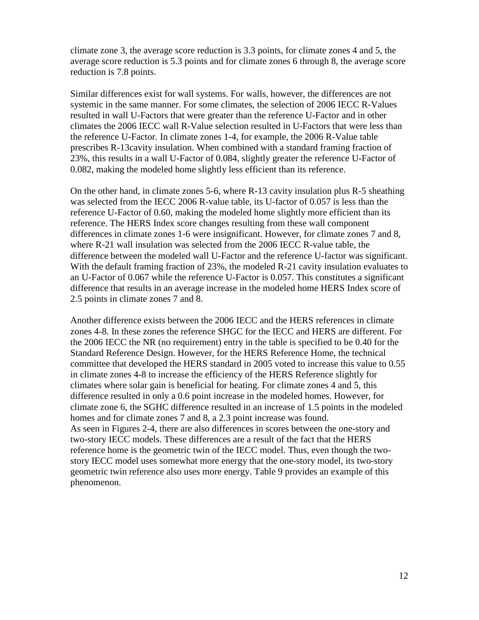climate zone 3, the average score reduction is 3.3 points, for climate zones 4 and 5, the average score reduction is 5.3 points and for climate zones 6 through 8, the average score reduction is 7.8 points.

Similar differences exist for wall systems. For walls, however, the differences are not systemic in the same manner. For some climates, the selection of 2006 IECC R-Values resulted in wall U-Factors that were greater than the reference U-Factor and in other climates the 2006 IECC wall R-Value selection resulted in U-Factors that were less than the reference U-Factor. In climate zones 1-4, for example, the 2006 R-Value table prescribes R-13cavity insulation. When combined with a standard framing fraction of 23%, this results in a wall U-Factor of 0.084, slightly greater the reference U-Factor of 0.082, making the modeled home slightly less efficient than its reference.

On the other hand, in climate zones 5-6, where R-13 cavity insulation plus R-5 sheathing was selected from the IECC 2006 R-value table, its U-factor of 0.057 is less than the reference U-Factor of 0.60, making the modeled home slightly more efficient than its reference. The HERS Index score changes resulting from these wall component differences in climate zones 1-6 were insignificant. However, for climate zones 7 and 8, where R-21 wall insulation was selected from the 2006 IECC R-value table, the difference between the modeled wall U-Factor and the reference U-factor was significant. With the default framing fraction of 23%, the modeled R-21 cavity insulation evaluates to an U-Factor of 0.067 while the reference U-Factor is 0.057. This constitutes a significant difference that results in an average increase in the modeled home HERS Index score of 2.5 points in climate zones 7 and 8.

Another difference exists between the 2006 IECC and the HERS references in climate zones 4-8. In these zones the reference SHGC for the IECC and HERS are different. For the 2006 IECC the NR (no requirement) entry in the table is specified to be 0.40 for the Standard Reference Design. However, for the HERS Reference Home, the technical committee that developed the HERS standard in 2005 voted to increase this value to 0.55 in climate zones 4-8 to increase the efficiency of the HERS Reference slightly for climates where solar gain is beneficial for heating. For climate zones 4 and 5, this difference resulted in only a 0.6 point increase in the modeled homes. However, for climate zone 6, the SGHC difference resulted in an increase of 1.5 points in the modeled homes and for climate zones 7 and 8, a 2.3 point increase was found. As seen in Figures 2-4, there are also differences in scores between the one-story and two-story IECC models. These differences are a result of the fact that the HERS reference home is the geometric twin of the IECC model. Thus, even though the twostory IECC model uses somewhat more energy that the one-story model, its two-story geometric twin reference also uses more energy. Table 9 provides an example of this phenomenon.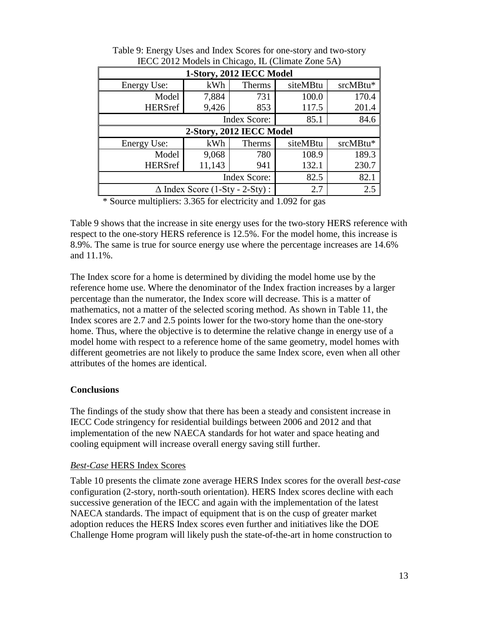| $\text{HUCC}$ 2012 MOUCES IN CHICAGO, IL (CHINAIC LONG 311) |        |        |          |          |  |  |  |
|-------------------------------------------------------------|--------|--------|----------|----------|--|--|--|
| 1-Story, 2012 IECC Model                                    |        |        |          |          |  |  |  |
| <b>Energy Use:</b>                                          | kWh    | Therms | siteMBtu | srcMBtu* |  |  |  |
| Model                                                       | 7,884  | 731    | 100.0    | 170.4    |  |  |  |
| <b>HERSref</b>                                              | 9,426  | 853    | 117.5    | 201.4    |  |  |  |
|                                                             | 85.1   | 84.6   |          |          |  |  |  |
| 2-Story, 2012 IECC Model                                    |        |        |          |          |  |  |  |
| Energy Use:                                                 | kWh    | Therms | siteMBtu | srcMBtu* |  |  |  |
| Model                                                       | 9,068  | 780    | 108.9    | 189.3    |  |  |  |
| <b>HERSref</b>                                              | 11,143 | 941    | 132.1    | 230.7    |  |  |  |
|                                                             | 82.5   | 82.1   |          |          |  |  |  |
| $\Delta$ Index Score (1-Sty - 2-Sty):                       | 2.7    | 2.5    |          |          |  |  |  |

Table 9: Energy Uses and Index Scores for one-story and two-story IECC 2012 Models in Chicago, IL (Climate Zone 5A)

\* Source multipliers: 3.365 for electricity and 1.092 for gas

Table 9 shows that the increase in site energy uses for the two-story HERS reference with respect to the one-story HERS reference is 12.5%. For the model home, this increase is 8.9%. The same is true for source energy use where the percentage increases are 14.6% and 11.1%.

The Index score for a home is determined by dividing the model home use by the reference home use. Where the denominator of the Index fraction increases by a larger percentage than the numerator, the Index score will decrease. This is a matter of mathematics, not a matter of the selected scoring method. As shown in Table 11, the Index scores are 2.7 and 2.5 points lower for the two-story home than the one-story home. Thus, where the objective is to determine the relative change in energy use of a model home with respect to a reference home of the same geometry, model homes with different geometries are not likely to produce the same Index score, even when all other attributes of the homes are identical.

#### **Conclusions**

The findings of the study show that there has been a steady and consistent increase in IECC Code stringency for residential buildings between 2006 and 2012 and that implementation of the new NAECA standards for hot water and space heating and cooling equipment will increase overall energy saving still further.

### *Best-Case* HERS Index Scores

Table 10 presents the climate zone average HERS Index scores for the overall *best-case* configuration (2-story, north-south orientation). HERS Index scores decline with each successive generation of the IECC and again with the implementation of the latest NAECA standards. The impact of equipment that is on the cusp of greater market adoption reduces the HERS Index scores even further and initiatives like the DOE Challenge Home program will likely push the state-of-the-art in home construction to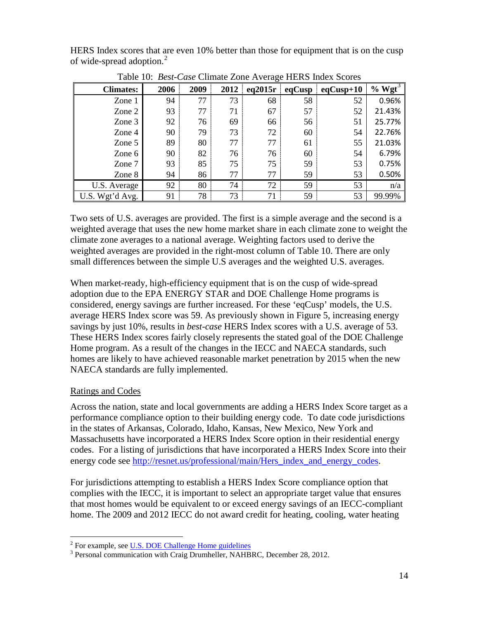HERS Index scores that are even 10% better than those for equipment that is on the cusp of wide-spread adoption.<sup>[2](#page-15-0)</sup>

|                  | ہ۔   |      |      |         |        |             |         |
|------------------|------|------|------|---------|--------|-------------|---------|
| <b>Climates:</b> | 2006 | 2009 | 2012 | eq2015r | eqCusp | $eqCusp+10$ | $%$ Wgt |
| Zone 1           | 94   | 77   | 73   | 68      | 58     | 52          | 0.96%   |
| Zone 2           | 93   | 77   | 71   | 67      | 57     | 52          | 21.43%  |
| Zone 3           | 92   | 76   | 69   | 66      | 56     | 51          | 25.77%  |
| Zone 4           | 90   | 79   | 73   | 72      | 60     | 54          | 22.76%  |
| Zone 5           | 89   | 80   | 77   | 77      | 61     | 55          | 21.03%  |
| Zone 6           | 90   | 82   | 76   | 76      | 60     | 54          | 6.79%   |
| Zone 7           | 93   | 85   | 75   | 75      | 59     | 53          | 0.75%   |
| Zone 8           | 94   | 86   | 77   | 77      | 59     | 53          | 0.50%   |
| U.S. Average     | 92   | 80   | 74   | 72      | 59     | 53          | n/a     |
| U.S. Wgt'd Avg.  | 91   | 78   | 73   | 71      | 59     | 53          | 99.99%  |

Table 10: *Best-Case* Climate Zone Average HERS Index Scores

Two sets of U.S. averages are provided. The first is a simple average and the second is a weighted average that uses the new home market share in each climate zone to weight the climate zone averages to a national average. Weighting factors used to derive the weighted averages are provided in the right-most column of Table 10. There are only small differences between the simple U.S averages and the weighted U.S. averages.

When market-ready, high-efficiency equipment that is on the cusp of wide-spread adoption due to the EPA ENERGY STAR and DOE Challenge Home programs is considered, energy savings are further increased. For these 'eqCusp' models, the U.S. average HERS Index score was 59. As previously shown in Figure 5, increasing energy savings by just 10%, results in *best-case* HERS Index scores with a U.S. average of 53. These HERS Index scores fairly closely represents the stated goal of the DOE Challenge Home program. As a result of the changes in the IECC and NAECA standards, such homes are likely to have achieved reasonable market penetration by 2015 when the new NAECA standards are fully implemented.

# Ratings and Codes

Across the nation, state and local governments are adding a HERS Index Score target as a performance compliance option to their building energy code. To date code jurisdictions in the states of Arkansas, Colorado, Idaho, Kansas, New Mexico, New York and Massachusetts have incorporated a HERS Index Score option in their residential energy codes. For a listing of jurisdictions that have incorporated a HERS Index Score into their energy code see [http://resnet.us/professional/main/Hers\\_index\\_and\\_energy\\_codes.](http://resnet.us/professional/main/Hers_index_and_energy_codes)

For jurisdictions attempting to establish a HERS Index Score compliance option that complies with the IECC, it is important to select an appropriate target value that ensures that most homes would be equivalent to or exceed energy savings of an IECC-compliant home. The 2009 and 2012 IECC do not award credit for heating, cooling, water heating

<span id="page-15-1"></span><span id="page-15-0"></span><sup>&</sup>lt;sup>2</sup> For example, see <u>U.S. DOE Challenge Home guidelines</u>  $\frac{3}{1}$  Personal communication with Craig Drumheller, NAHBRC, December 28, 2012.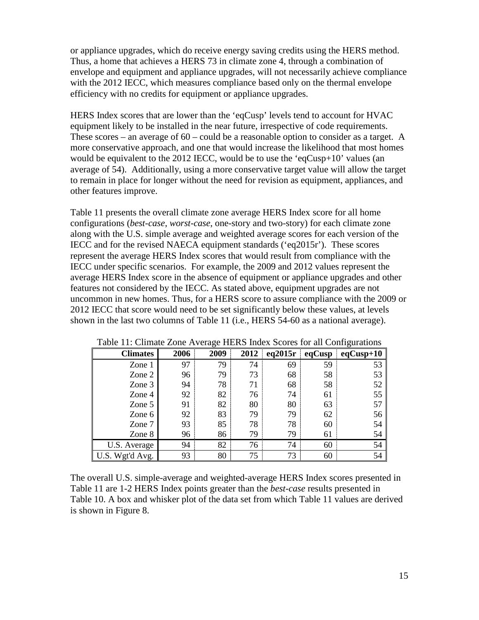or appliance upgrades, which do receive energy saving credits using the HERS method. Thus, a home that achieves a HERS 73 in climate zone 4, through a combination of envelope and equipment and appliance upgrades, will not necessarily achieve compliance with the 2012 IECC, which measures compliance based only on the thermal envelope efficiency with no credits for equipment or appliance upgrades.

HERS Index scores that are lower than the 'eqCusp' levels tend to account for HVAC equipment likely to be installed in the near future, irrespective of code requirements. These scores – an average of  $60$  – could be a reasonable option to consider as a target. A more conservative approach, and one that would increase the likelihood that most homes would be equivalent to the 2012 IECC, would be to use the 'eqCusp+10' values (an average of 54). Additionally, using a more conservative target value will allow the target to remain in place for longer without the need for revision as equipment, appliances, and other features improve.

Table 11 presents the overall climate zone average HERS Index score for all home configurations (*best-case*, *worst-case*, one-story and two-story) for each climate zone along with the U.S. simple average and weighted average scores for each version of the IECC and for the revised NAECA equipment standards ('eq2015r'). These scores represent the average HERS Index scores that would result from compliance with the IECC under specific scenarios. For example, the 2009 and 2012 values represent the average HERS Index score in the absence of equipment or appliance upgrades and other features not considered by the IECC. As stated above, equipment upgrades are not uncommon in new homes. Thus, for a HERS score to assure compliance with the 2009 or 2012 IECC that score would need to be set significantly below these values, at levels shown in the last two columns of Table 11 (i.e., HERS 54-60 as a national average).

| <b>Climates</b> | 2006 | 2009 | 2012 | eq2015r | eqCusp | $eqCusp+10$ |
|-----------------|------|------|------|---------|--------|-------------|
| Zone 1          | 97   | 79   | 74   | 69      | 59     | 53          |
| Zone 2          | 96   | 79   | 73   | 68      | 58     | 53          |
| Zone 3          | 94   | 78   | 71   | 68      | 58     | 52          |
| Zone 4          | 92   | 82   | 76   | 74      | 61     | 55          |
| Zone 5          | 91   | 82   | 80   | 80      | 63     | 57          |
| Zone 6          | 92   | 83   | 79   | 79      | 62     | 56          |
| Zone 7          | 93   | 85   | 78   | 78      | 60     | 54          |
| Zone 8          | 96   | 86   | 79   | 79      | 61     | 54          |
| U.S. Average    | 94   | 82   | 76   | 74      | 60     | 54          |
| U.S. Wgt'd Avg. | 93   | 80   | 75   | 73      | 60     | 54          |

Table 11: Climate Zone Average HERS Index Scores for all Configurations

The overall U.S. simple-average and weighted-average HERS Index scores presented in Table 11 are 1-2 HERS Index points greater than the *best-case* results presented in Table 10. A box and whisker plot of the data set from which Table 11 values are derived is shown in Figure 8.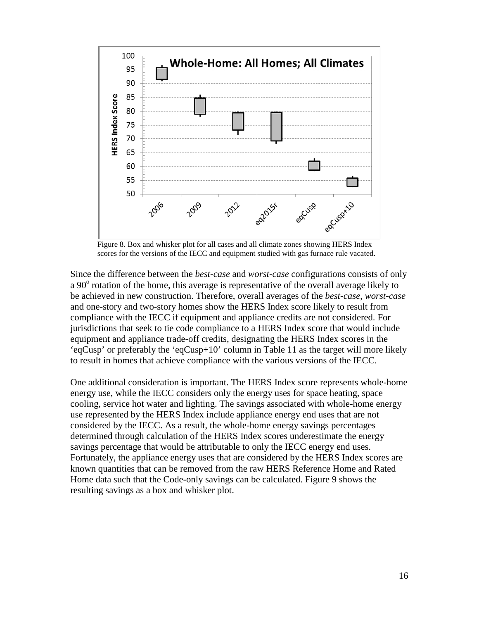

Figure 8. Box and whisker plot for all cases and all climate zones showing HERS Index scores for the versions of the IECC and equipment studied with gas furnace rule vacated.

Since the difference between the *best-case* and *worst-case* configurations consists of only a 90<sup>o</sup> rotation of the home, this average is representative of the overall average likely to be achieved in new construction. Therefore, overall averages of the *best-case*, *worst-case* and one-story and two-story homes show the HERS Index score likely to result from compliance with the IECC if equipment and appliance credits are not considered. For jurisdictions that seek to tie code compliance to a HERS Index score that would include equipment and appliance trade-off credits, designating the HERS Index scores in the 'eqCusp' or preferably the 'eqCusp+10' column in Table 11 as the target will more likely to result in homes that achieve compliance with the various versions of the IECC.

One additional consideration is important. The HERS Index score represents whole-home energy use, while the IECC considers only the energy uses for space heating, space cooling, service hot water and lighting. The savings associated with whole-home energy use represented by the HERS Index include appliance energy end uses that are not considered by the IECC. As a result, the whole-home energy savings percentages determined through calculation of the HERS Index scores underestimate the energy savings percentage that would be attributable to only the IECC energy end uses. Fortunately, the appliance energy uses that are considered by the HERS Index scores are known quantities that can be removed from the raw HERS Reference Home and Rated Home data such that the Code-only savings can be calculated. Figure 9 shows the resulting savings as a box and whisker plot.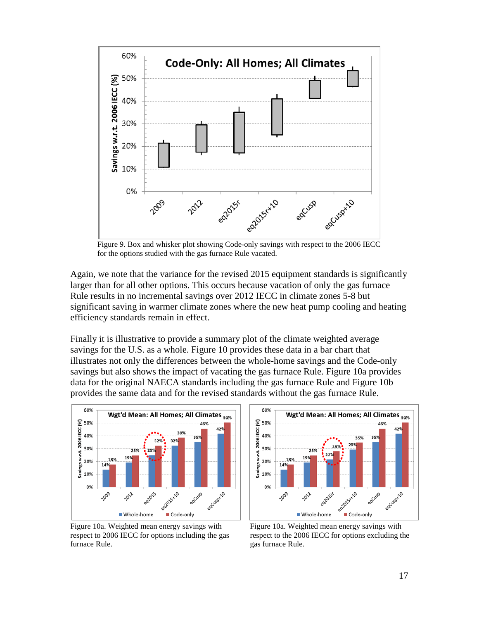

Figure 9. Box and whisker plot showing Code-only savings with respect to the 2006 IECC for the options studied with the gas furnace Rule vacated.

Again, we note that the variance for the revised 2015 equipment standards is significantly larger than for all other options. This occurs because vacation of only the gas furnace Rule results in no incremental savings over 2012 IECC in climate zones 5-8 but significant saving in warmer climate zones where the new heat pump cooling and heating efficiency standards remain in effect.

Finally it is illustrative to provide a summary plot of the climate weighted average savings for the U.S. as a whole. Figure 10 provides these data in a bar chart that illustrates not only the differences between the whole-home savings and the Code-only savings but also shows the impact of vacating the gas furnace Rule. Figure 10a provides data for the original NAECA standards including the gas furnace Rule and Figure 10b provides the same data and for the revised standards without the gas furnace Rule.



Figure 10a. Weighted mean energy savings with respect to 2006 IECC for options including the gas furnace Rule.



Figure 10a. Weighted mean energy savings with respect to the 2006 IECC for options excluding the gas furnace Rule.